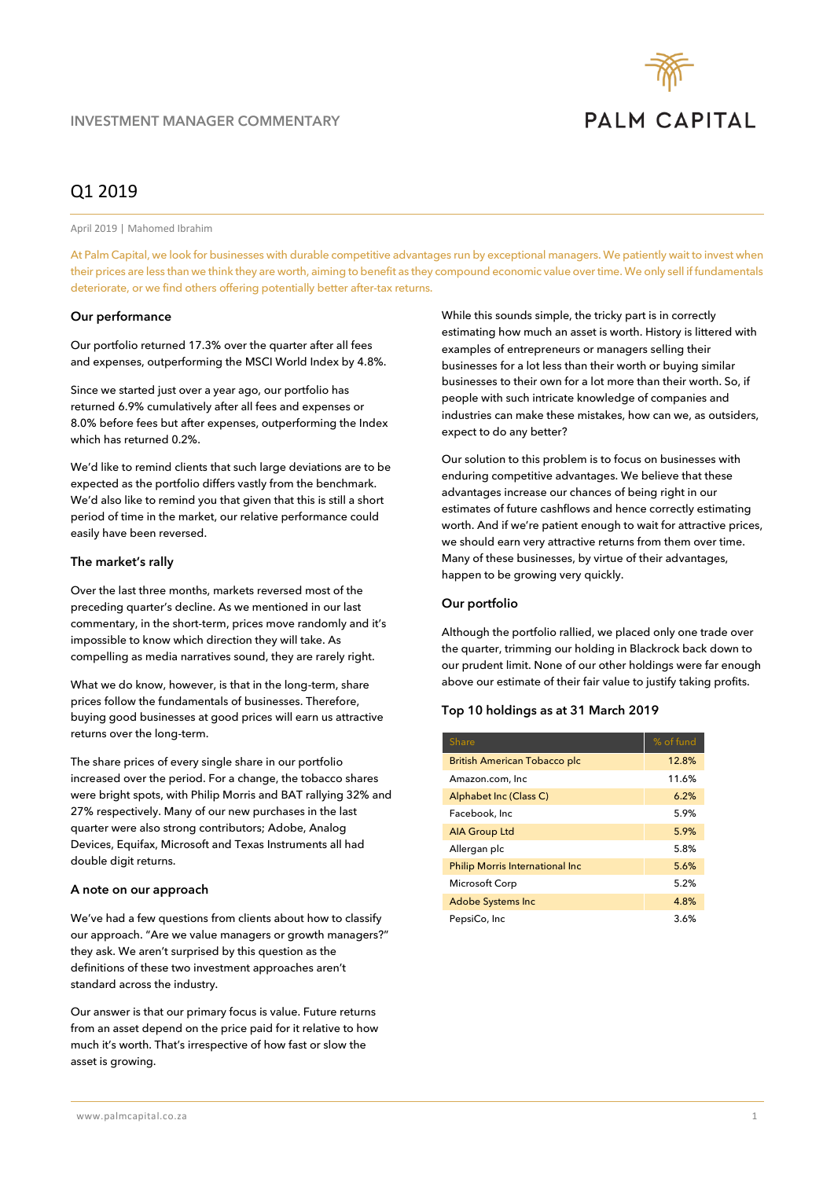

# Q1 2019

April 2019 | Mahomed Ibrahim

At Palm Capital, we look for businesses with durable competitive advantages run by exceptional managers. We patiently wait to invest when their prices are less than we think they are worth, aiming to benefit as they compound economic value over time. We only sell if fundamentals deteriorate, or we find others offering potentially better after-tax returns.

#### **Our performance**

Our portfolio returned 17.3% over the quarter after all fees and expenses, outperforming the MSCI World Index by 4.8%.

Since we started just over a year ago, our portfolio has returned 6.9% cumulatively after all fees and expenses or 8.0% before fees but after expenses, outperforming the Index which has returned 0.2%.

We'd like to remind clients that such large deviations are to be expected as the portfolio differs vastly from the benchmark. We'd also like to remind you that given that this is still a short period of time in the market, our relative performance could easily have been reversed.

#### **The market's rally**

Over the last three months, markets reversed most of the preceding quarter's decline. As we mentioned in our last commentary, in the short-term, prices move randomly and it's impossible to know which direction they will take. As compelling as media narratives sound, they are rarely right.

What we do know, however, is that in the long-term, share prices follow the fundamentals of businesses. Therefore, buying good businesses at good prices will earn us attractive returns over the long-term.

The share prices of every single share in our portfolio increased over the period. For a change, the tobacco shares were bright spots, with Philip Morris and BAT rallying 32% and 27% respectively. Many of our new purchases in the last quarter were also strong contributors; Adobe, Analog Devices, Equifax, Microsoft and Texas Instruments all had double digit returns.

## **A note on our approach**

We've had a few questions from clients about how to classify our approach. "Are we value managers or growth managers?" they ask. We aren't surprised by this question as the definitions of these two investment approaches aren't standard across the industry.

Our answer is that our primary focus is value. Future returns from an asset depend on the price paid for it relative to how much it's worth. That's irrespective of how fast or slow the asset is growing.

While this sounds simple, the tricky part is in correctly estimating how much an asset is worth. History is littered with examples of entrepreneurs or managers selling their businesses for a lot less than their worth or buying similar businesses to their own for a lot more than their worth. So, if people with such intricate knowledge of companies and industries can make these mistakes, how can we, as outsiders, expect to do any better?

Our solution to this problem is to focus on businesses with enduring competitive advantages. We believe that these advantages increase our chances of being right in our estimates of future cashflows and hence correctly estimating worth. And if we're patient enough to wait for attractive prices, we should earn very attractive returns from them over time. Many of these businesses, by virtue of their advantages, happen to be growing very quickly.

## **Our portfolio**

Although the portfolio rallied, we placed only one trade over the quarter, trimming our holding in Blackrock back down to our prudent limit. None of our other holdings were far enough above our estimate of their fair value to justify taking profits.

## **Top 10 holdings as at 31 March 2019**

| <b>Share</b>                            | % of fund |
|-----------------------------------------|-----------|
| <b>British American Tobacco plc</b>     | 12.8%     |
| Amazon.com, Inc                         | 11.6%     |
| Alphabet Inc (Class C)                  | 6.2%      |
| Facebook, Inc                           | 5.9%      |
| <b>AIA Group Ltd</b>                    | 5.9%      |
| Allergan plc                            | 5.8%      |
| <b>Philip Morris International Inc.</b> | 5.6%      |
| Microsoft Corp                          | 5.2%      |
| <b>Adobe Systems Inc</b>                | 4.8%      |
| PepsiCo, Inc                            | 3.6%      |